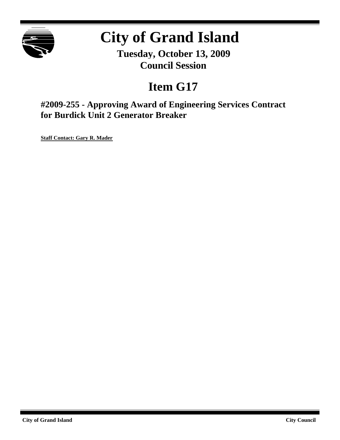

# **City of Grand Island**

**Tuesday, October 13, 2009 Council Session**

# **Item G17**

**#2009-255 - Approving Award of Engineering Services Contract for Burdick Unit 2 Generator Breaker**

**Staff Contact: Gary R. Mader**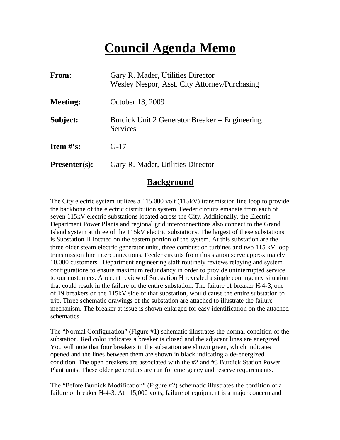# **Council Agenda Memo**

| From:                          | Gary R. Mader, Utilities Director<br>Wesley Nespor, Asst. City Attorney/Purchasing |
|--------------------------------|------------------------------------------------------------------------------------|
| <b>Meeting:</b>                | October 13, 2009                                                                   |
| Subject:                       | Burdick Unit 2 Generator Breaker – Engineering<br><b>Services</b>                  |
| <b>Item <math>\#</math>'s:</b> | $G-17$                                                                             |
| <b>Presenter(s):</b>           | Gary R. Mader, Utilities Director                                                  |

### **Background**

The City electric system utilizes a 115,000 volt (115kV) transmission line loop to provide the backbone of the electric distribution system. Feeder circuits emanate from each of seven 115kV electric substations located across the City. Additionally, the Electric Department Power Plants and regional grid interconnections also connect to the Grand Island system at three of the 115kV electric substations. The largest of these substations is Substation H located on the eastern portion of the system. At this substation are the three older steam electric generator units, three combustion turbines and two 115 kV loop transmission line interconnections. Feeder circuits from this station serve approximately 10,000 customers. Department engineering staff routinely reviews relaying and system configurations to ensure maximum redundancy in order to provide uninterrupted service to our customers. A recent review of Substation H revealed a single contingency situation that could result in the failure of the entire substation. The failure of breaker H-4-3, one of 19 breakers on the 115kV side of that substation, would cause the entire substation to trip. Three schematic drawings of the substation are attached to illustrate the failure mechanism. The breaker at issue is shown enlarged for easy identification on the attached schematics.

The "Normal Configuration" (Figure #1) schematic illustrates the normal condition of the substation. Red color indicates a breaker is closed and the adjacent lines are energized. You will note that four breakers in the substation are shown green, which indicates opened and the lines between them are shown in black indicating a de-energized condition. The open breakers are associated with the #2 and #3 Burdick Station Power Plant units. These older generators are run for emergency and reserve requirements.

The "Before Burdick Modification" (Figure #2) schematic illustrates the condition of a failure of breaker H-4-3. At 115,000 volts, failure of equipment is a major concern and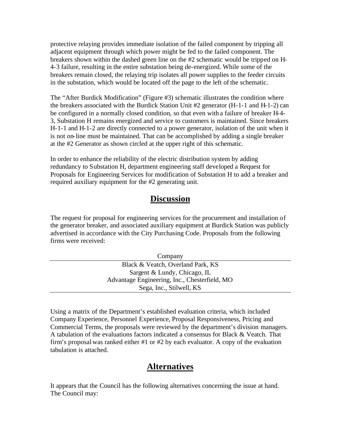protective relaying provides immediate isolation of the failed component by tripping all adjacent equipment through which power might be fed to the failed component. The breakers shown within the dashed green line on the #2 schematic would be tripped on H-4-3 failure, resulting in the entire substation being de-energized. While some of the breakers remain closed, the relaying trip isolates all power supplies to the feeder circuits in the substation, which would be located off the page to the left of the schematic.

The "After Burdick Modification" (Figure #3) schematic illustrates the condition where the breakers associated with the Burdick Station Unit #2 generator (H-1-1 and H-1-2) can be configured in a normally closed condition, so that even with a failure of breaker H-4- 3, Substation H remains energized and service to customers is maintained. Since breakers H-1-1 and H-1-2 are directly connected to a power generator, isolation of the unit when it is not on-line must be maintained. That can be accomplished by adding a single breaker at the #2 Generator as shown circled at the upper right of this schematic.

In order to enhance the reliability of the electric distribution system by adding redundancy to Substation H, department engineering staff developed a Request for Proposals for Engineering Services for modification of Substation H to add a breaker and required auxiliary equipment for the #2 generating unit.

## **Discussion**

The request for proposal for engineering services for the procurement and installation of the generator breaker, and associated auxiliary equipment at Burdick Station was publicly advertised in accordance with the City Purchasing Code. Proposals from the following firms were received:

| Company                                       |
|-----------------------------------------------|
| Black & Veatch, Overland Park, KS             |
| Sargent & Lundy, Chicago, IL                  |
| Advantage Engineering, Inc., Chesterfield, MO |
| Sega, Inc., Stilwell, KS                      |

Using a matrix of the Department's established evaluation criteria, which included Company Experience, Personnel Experience, Proposal Responsiveness, Pricing and Commercial Terms, the proposals were reviewed by the department's division managers. A tabulation of the evaluations factors indicated a consensus for Black & Veatch. That firm's proposal was ranked either #1 or #2 by each evaluator. A copy of the evaluation tabulation is attached.

## **Alternatives**

It appears that the Council has the following alternatives concerning the issue at hand. The Council may: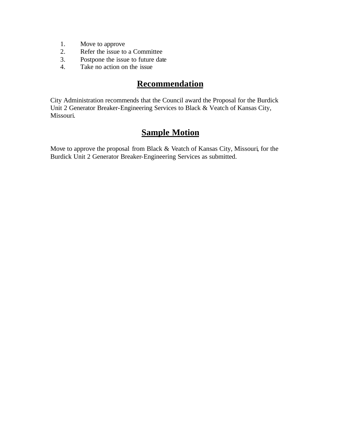- 1. Move to approve
- 2. Refer the issue to a Committee
- 3. Postpone the issue to future date
- 4. Take no action on the issue

# **Recommendation**

City Administration recommends that the Council award the Proposal for the Burdick Unit 2 Generator Breaker-Engineering Services to Black & Veatch of Kansas City, Missouri.

# **Sample Motion**

Move to approve the proposal from Black & Veatch of Kansas City, Missouri, for the Burdick Unit 2 Generator Breaker-Engineering Services as submitted.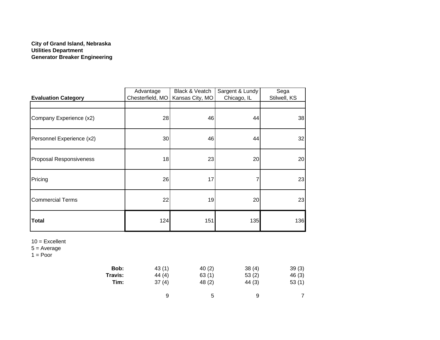#### **City of Grand Island, Nebraska Utilities Department Generator Breaker Engineering**

| <b>Evaluation Category</b>                             | Advantage<br>Chesterfield, MO | Black & Veatch<br>Kansas City, MO | Sargent & Lundy<br>Chicago, IL | Sega<br>Stilwell, KS |
|--------------------------------------------------------|-------------------------------|-----------------------------------|--------------------------------|----------------------|
|                                                        |                               |                                   |                                |                      |
| Company Experience (x2)                                | 28                            | 46                                | 44                             | 38                   |
| Personnel Experience (x2)                              | $30\,$                        | 46                                | 44                             | 32                   |
| <b>Proposal Responsiveness</b>                         | 18                            | 23                                | 20                             | 20                   |
| Pricing                                                | 26                            | 17                                | 7                              | 23                   |
| <b>Commercial Terms</b>                                | 22                            | 19                                | 20                             | 23                   |
| <b>Total</b>                                           | 124                           | 151                               | 135                            | 136                  |
| $10 =$ Excellent<br>$5 = Average$<br>$1 = \text{Poor}$ |                               |                                   |                                |                      |
| Bob:<br>Travis:                                        | 43(1)<br>44(4)                | 40(2)<br>63(1)                    | 38(4)<br>53(2)                 | 39(3)<br>46 (3)      |

| Bob:   | 43 (1) | 40(2)  | 38(4)  | 39(3) |
|--------|--------|--------|--------|-------|
| ravis: | 44 (4) | 63(1)  | 53(2)  | 46(3) |
| Tim:   | 37(4)  | 48 (2) | 44 (3) | 53(1) |
|        | 9      | 5      | 9      |       |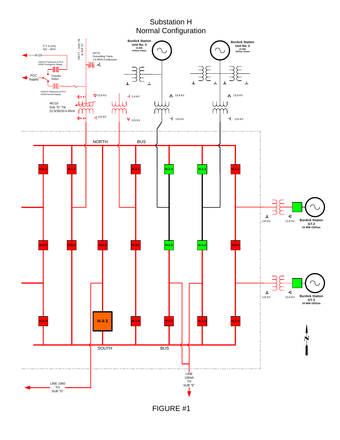## Substation H Normal Configuration

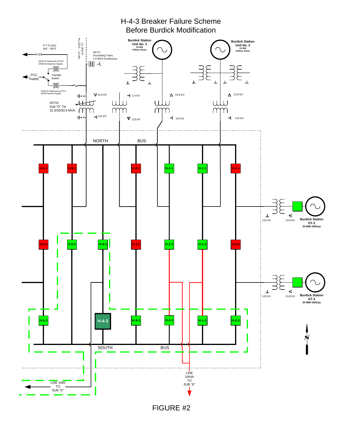

FIGURE #2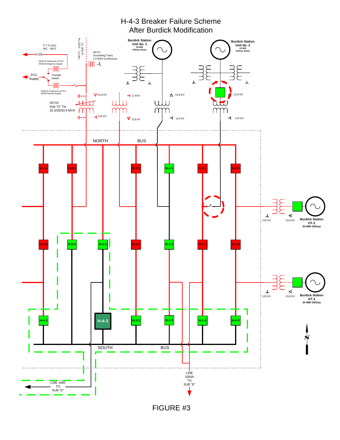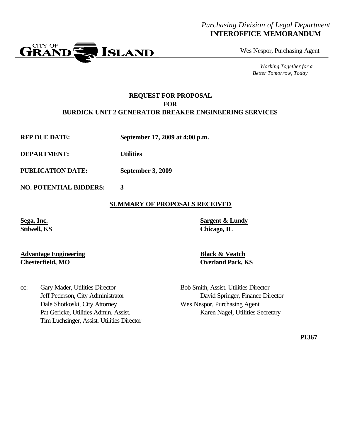### *Purchasing Division of Legal Department* **INTEROFFICE MEMORANDUM**

Wes Nespor, Purchasing Agent

*Working Together for a Better Tomorrow, Today*

#### **REQUEST FOR PROPOSAL FOR BURDICK UNIT 2 GENERATOR BREAKER ENGINEERING SERVICES**

**RFP DUE DATE: September 17, 2009 at 4:00 p.m.**

**DEPARTMENT: Utilities**

**PUBLICATION DATE: September 3, 2009**

Tim Luchsinger, Assist. Utilities Director

**NO. POTENTIAL BIDDERS: 3**

#### **SUMMARY OF PROPOSALS RECEIVED**

**Sega, Inc. Sargent & Lundy Stilwell, KS Chicago, IL**

#### **Advantage Engineering Black & Veatch Chesterfield, MO Overland Park, KS**

cc: Gary Mader, Utilities Director Bob Smith, Assist. Utilities Director Jeff Pederson, City Administrator David Springer, Finance Director Dale Shotkoski, City Attorney Wes Nespor, Purchasing Agent Pat Gericke, Utilities Admin. Assist. Karen Nagel, Utilities Secretary

**P1367**